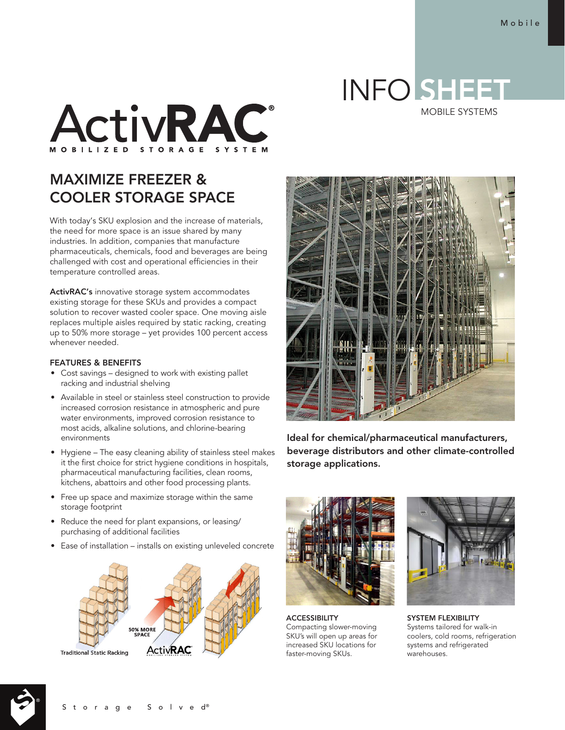## INFO SHEET

MOBILE SYSTEMS



## MAXIMIZE FREEZER & COOLER STORAGE SPACE

With today's SKU explosion and the increase of materials, the need for more space is an issue shared by many industries. In addition, companies that manufacture pharmaceuticals, chemicals, food and beverages are being challenged with cost and operational efficiencies in their temperature controlled areas.

ActivRAC's innovative storage system accommodates existing storage for these SKUs and provides a compact solution to recover wasted cooler space. One moving aisle replaces multiple aisles required by static racking, creating up to 50% more storage – yet provides 100 percent access whenever needed.

## FEATURES & BENEFITS

- Cost savings designed to work with existing pallet racking and industrial shelving
- Available in steel or stainless steel construction to provide increased corrosion resistance in atmospheric and pure water environments, improved corrosion resistance to most acids, alkaline solutions, and chlorine-bearing environments
- Hygiene The easy cleaning ability of stainless steel makes it the first choice for strict hygiene conditions in hospitals, pharmaceutical manufacturing facilities, clean rooms, kitchens, abattoirs and other food processing plants.
- Free up space and maximize storage within the same storage footprint
- Reduce the need for plant expansions, or leasing/ purchasing of additional facilities
- Ease of installation installs on existing unleveled concrete





Ideal for chemical/pharmaceutical manufacturers, beverage distributors and other climate-controlled storage applications.



ACCESSIBILITY Compacting slower-moving SKU's will open up areas for increased SKU locations for faster-moving SKUs.



SYSTEM FLEXIBILITY Systems tailored for walk-in coolers, cold rooms, refrigeration systems and refrigerated warehouses.